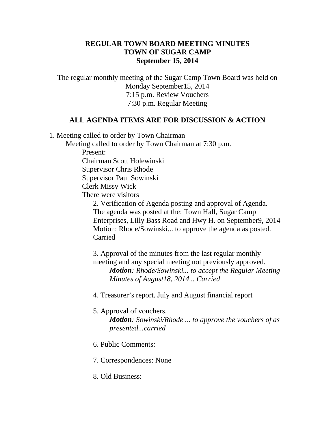## **REGULAR TOWN BOARD MEETING MINUTES TOWN OF SUGAR CAMP September 15, 2014**

The regular monthly meeting of the Sugar Camp Town Board was held on Monday September15, 2014 7:15 p.m. Review Vouchers 7:30 p.m. Regular Meeting

## **ALL AGENDA ITEMS ARE FOR DISCUSSION & ACTION**

1. Meeting called to order by Town Chairman

Meeting called to order by Town Chairman at 7:30 p.m.

Present:

Chairman Scott Holewinski

Supervisor Chris Rhode

Supervisor Paul Sowinski

Clerk Missy Wick

There were visitors

2. Verification of Agenda posting and approval of Agenda. The agenda was posted at the: Town Hall, Sugar Camp Enterprises, Lilly Bass Road and Hwy H. on September9, 2014 Motion: Rhode/Sowinski... to approve the agenda as posted. Carried

3. Approval of the minutes from the last regular monthly meeting and any special meeting not previously approved. *Motion: Rhode/Sowinski... to accept the Regular Meeting Minutes of August18, 2014... Carried*

4. Treasurer's report. July and August financial report

## 5. Approval of vouchers.

*Motion: Sowinski/Rhode ... to approve the vouchers of as presented...carried*

- 6. Public Comments:
- 7. Correspondences: None
- 8. Old Business: